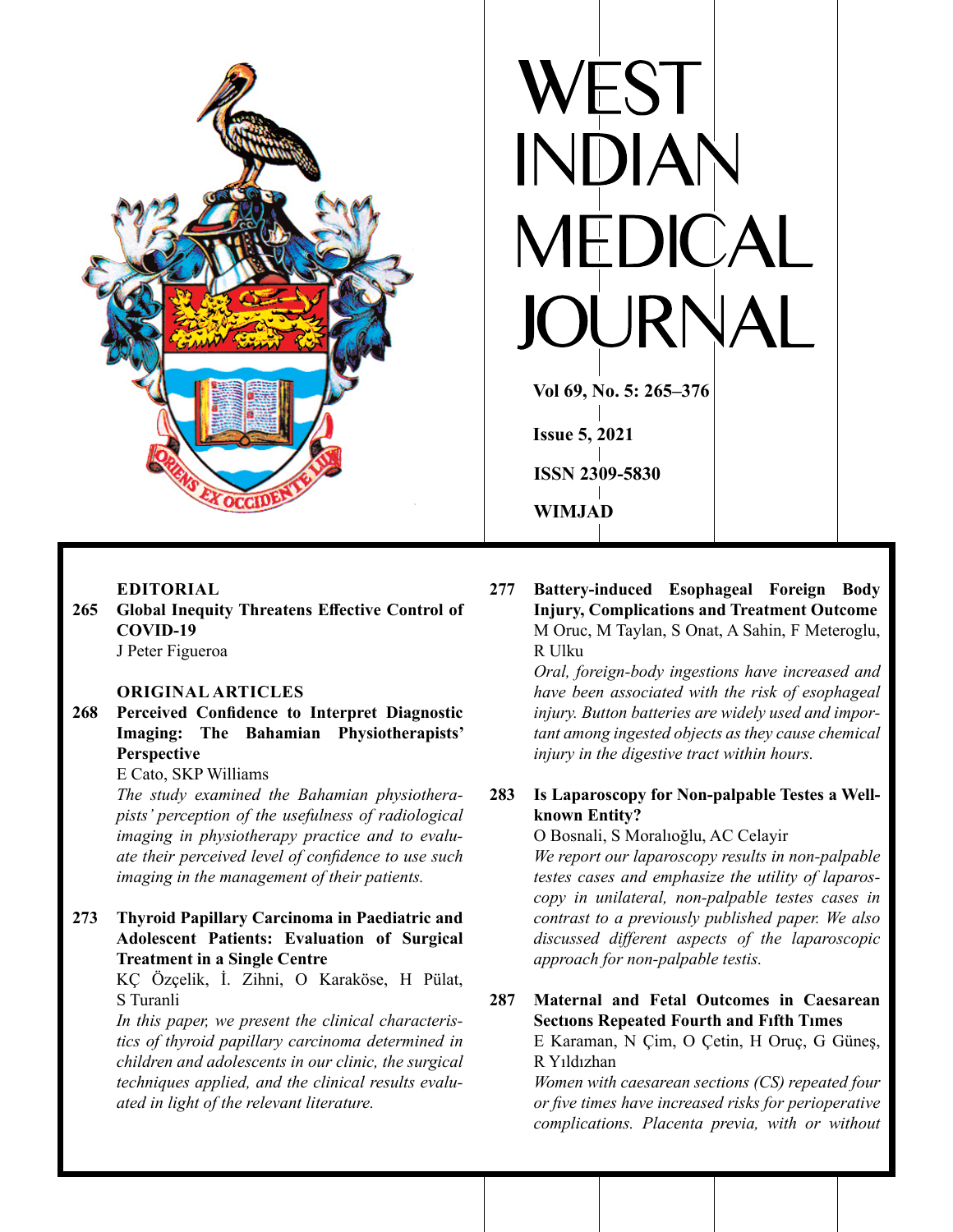

# **EDITORIAL**

**265 Global Inequity Threatens Effective Control of COVID-19** J Peter Figueroa

## **ORIGINAL ARTICLES**

**268 Perceived Confidence to Interpret Diagnostic Imaging: The Bahamian Physiotherapists' Perspective**

E Cato, SKP Williams

 *The study examined the Bahamian physiotherapists' perception of the usefulness of radiological imaging in physiotherapy practice and to evaluate their perceived level of confidence to use such imaging in the management of their patients.*

# **273 Thyroid Papillary Carcinoma in Paediatric and Adolescent Patients: Evaluation of Surgical Treatment in a Single Centre**

KÇ Özçelik, İ. Zihni, O Karaköse, H Pülat, S Turanli

 *In this paper, we present the clinical characteristics of thyroid papillary carcinoma determined in children and adolescents in our clinic, the surgical techniques applied, and the clinical results evaluated in light of the relevant literature.*

 $\blacksquare$ **Vol 69, No. 5: 265–376 Issue 5, 2021ISSN 2309-5830 WIMJAD**

**277 Battery-induced Esophageal Foreign Body Injury, Complications and Treatment Outcome** M Oruc, M Taylan, S Onat, A Sahin, F Meteroglu, R Ulku

> *Oral, foreign-body ingestions have increased and have been associated with the risk of esophageal injury. Button batteries are widely used and important among ingested objects as they cause chemical injury in the digestive tract within hours.*

# **283 Is Laparoscopy for Non-palpable Testes a Wellknown Entity?**

O Bosnali, S Moralıoğlu, AC Celayir

 *We report our laparoscopy results in non-palpable testes cases and emphasize the utility of laparoscopy in unilateral, non-palpable testes cases in contrast to a previously published paper. We also discussed different aspects of the laparoscopic approach for non-palpable testis.*

**287 Maternal and Fetal Outcomes in Caesarean Sectıons Repeated Fourth and Fıfth Tımes**

E Karaman, N Çim, O Çetin, H Oruç, G Güneş, R Yıldızhan

 *Women with caesarean sections (CS) repeated four or five times have increased risks for perioperative complications. Placenta previa, with or without*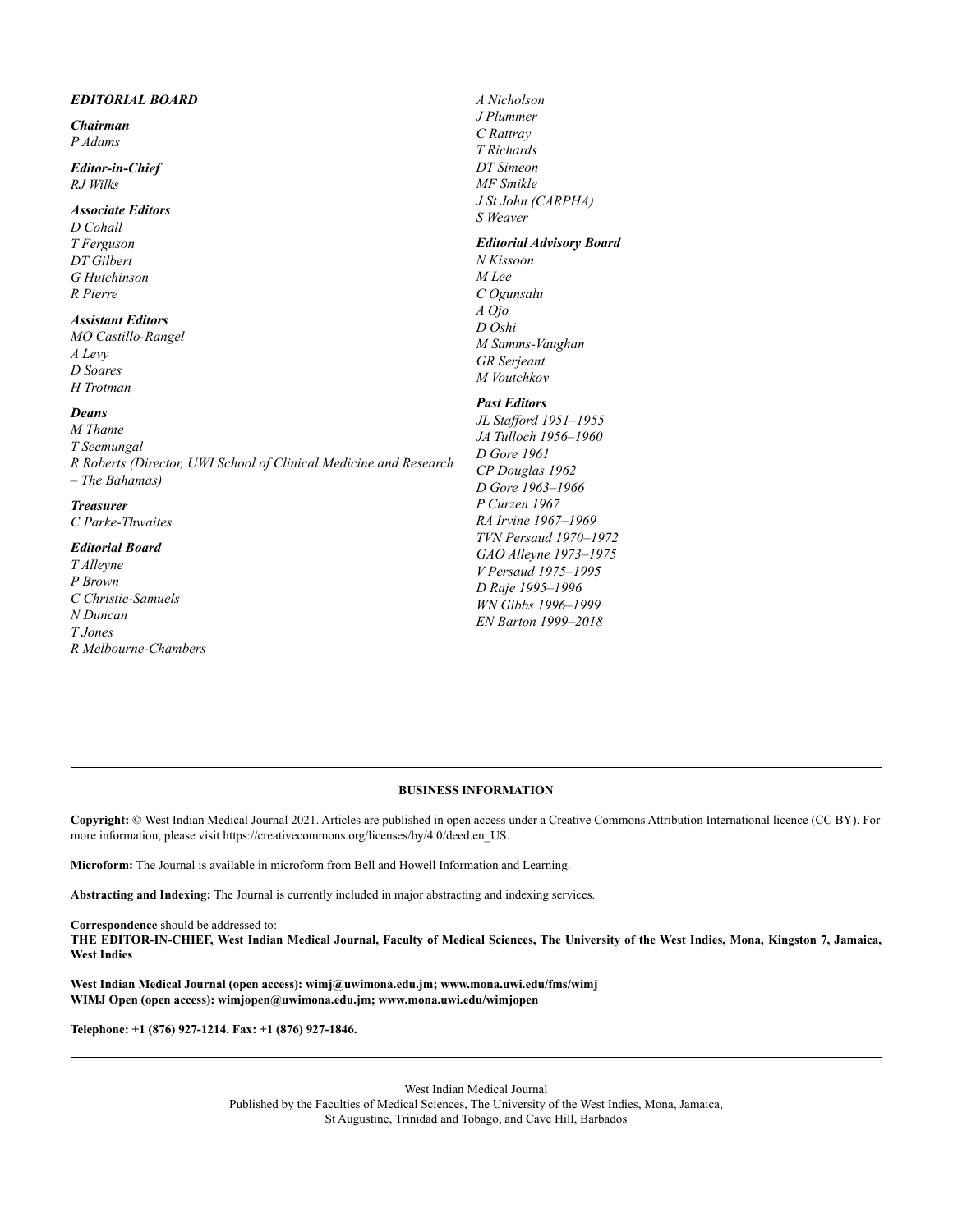#### *EDITORIAL BOARD*

#### *Chairman P Adams*

#### *Editor-in-Chief RJ Wilks*

#### *Associate Editors*

*D Cohall T Ferguson DT Gilbert G Hutchinson R Pierre*

#### *Assistant Editors*

*MO Castillo-Rangel A Levy D Soares H Trotman*

#### *Deans*

*M Thame T Seemungal R Roberts (Director, UWI School of Clinical Medicine and Research – The Bahamas)*

## *Treasurer*

*C Parke-Thwaites*

#### *Editorial Board*

*T Alleyne P Brown C Christie-Samuels N Duncan T Jones R Melbourne-Chambers*

*A Nicholson J Plummer C Rattray T Richards DT Simeon MF Smikle J St John (CARPHA) S Weaver Editorial Advisory Board N Kissoon M Lee C Ogunsalu A Ojo D Oshi M Samms-Vaughan*

# *M Voutchkov Past Editors*

*GR Serjeant*

*JL Stafford 1951–1955 JA Tulloch 1956–1960 D Gore 1961 CP Douglas 1962 D Gore 1963–1966 P Curzen 1967 RA Irvine 1967–1969 TVN Persaud 1970–1972 GAO Alleyne 1973–1975 V Persaud 1975–1995 D Raje 1995–1996 WN Gibbs 1996–1999 EN Barton 1999–2018*

#### **BUSINESS INFORMATION**

**Copyright:** © West Indian Medical Journal 2021. Articles are published in open access under a Creative Commons Attribution International licence (CC BY). For more information, please visit https://creativecommons.org/licenses/by/4.0/deed.en\_US.

**Microform:** The Journal is available in microform from Bell and Howell Information and Learning.

**Abstracting and Indexing:** The Journal is currently included in major abstracting and indexing services.

**Correspondence** should be addressed to:

THE EDITOR-IN-CHIEF, West Indian Medical Journal, Faculty of Medical Sciences, The University of the West Indies, Mona, Kingston 7, Jamaica, **West Indies**

**West Indian Medical Journal (open access): wimj@uwimona.edu.jm; www.mona.uwi.edu/fms/wimj WIMJ Open (open access): wimjopen@uwimona.edu.jm; www.mona.uwi.edu/wimjopen**

**Telephone: +1 (876) 927-1214. Fax: +1 (876) 927-1846.**

West Indian Medical Journal Published by the Faculties of Medical Sciences, The University of the West Indies, Mona, Jamaica, St Augustine, Trinidad and Tobago, and Cave Hill, Barbados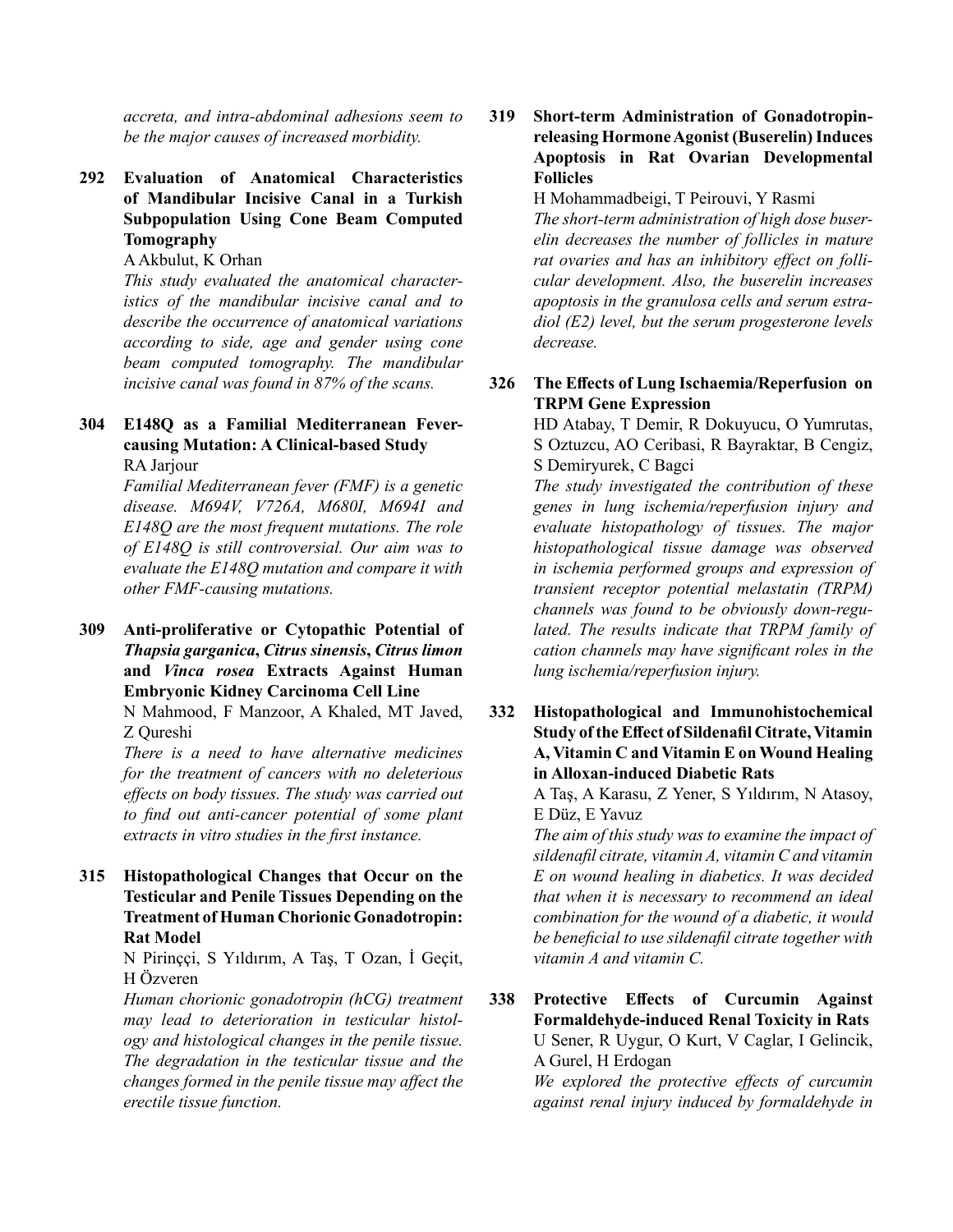*accreta, and intra-abdominal adhesions seem to be the major causes of increased morbidity.*

**292 Evaluation of Anatomical Characteristics of Mandibular Incisive Canal in a Turkish Subpopulation Using Cone Beam Computed Tomography**

AAkbulut, K Orhan

 *This study evaluated the anatomical characteristics of the mandibular incisive canal and to describe the occurrence of anatomical variations according to side, age and gender using cone beam computed tomography. The mandibular incisive canal was found in 87% of the scans.*

# **304 E148Q as a Familial Mediterranean Fevercausing Mutation: A Clinical-based Study**

RA Jarjour

 *Familial Mediterranean fever (FMF) is a genetic disease. M694V, V726A, M680I, M694I and E148Q are the most frequent mutations. The role of E148Q is still controversial. Our aim was to evaluate the E148Q mutation and compare it with other FMF-causing mutations.*

**309 Anti-proliferative or Cytopathic Potential of** *Thapsia garganica***,** *Citrus sinensis***,** *Citrus limon* **and** *Vinca rosea* **Extracts Against Human Embryonic Kidney Carcinoma Cell Line**

N Mahmood, F Manzoor, A Khaled, MT Javed, Z Qureshi

 *There is a need to have alternative medicines for the treatment of cancers with no deleterious effects on body tissues. The study was carried out to find out anti-cancer potential of some plant extracts in vitro studies in the first instance.* 

**315 Histopathological Changes that Occur on the Testicular and Penile Tissues Depending on the Treatment of Human Chorionic Gonadotropin: Rat Model**

> N Pirinççi, S Yıldırım, A Taş, T Ozan, İ Geçit, H Özveren

> *Human chorionic gonadotropin (hCG) treatment may lead to deterioration in testicular histology and histological changes in the penile tissue. The degradation in the testicular tissue and the changes formed in the penile tissue may affect the erectile tissue function.*

# **319 Short-term Administration of Gonadotropinreleasing HormoneAgonist (Buserelin)Induces Apoptosis in Rat Ovarian Developmental Follicles**

H Mohammadbeigi, T Peirouvi, Y Rasmi

 *The short-term administration of high dose buserelin decreases the number of follicles in mature rat ovaries and has an inhibitory effect on follicular development. Also, the buserelin increases apoptosis in the granulosa cells and serum estradiol (E2) level, but the serum progesterone levels decrease.*

## **326 The Effects of Lung Ischaemia/Reperfusion on TRPM Gene Expression**

HD Atabay, T Demir, R Dokuyucu, O Yumrutas, S Oztuzcu, AO Ceribasi, R Bayraktar, B Cengiz, S Demiryurek, C Bagci

 *The study investigated the contribution of these genes in lung ischemia/reperfusion injury and evaluate histopathology of tissues. The major histopathological tissue damage was observed in ischemia performed groups and expression of transient receptor potential melastatin (TRPM) channels was found to be obviously down-regulated. The results indicate that TRPM family of cation channels may have significant roles in the lung ischemia/reperfusion injury.*

**332 Histopathological and Immunohistochemical Study oftheEffect of Sildenafil Citrate,Vitamin A, Vitamin C and Vitamin E on Wound Healing in Alloxan-induced Diabetic Rats**

> A Taş, A Karasu, Z Yener, S Yıldırım, N Atasoy, E Düz, E Yavuz

> *The aim of this study was to examine the impact of sildenafil citrate, vitamin A, vitamin C and vitamin E on wound healing in diabetics. It was decided that when it is necessary to recommend an ideal combination for the wound of a diabetic, it would be beneficial to use sildenafil citrate together with vitamin A and vitamin C.*

**338 Protective Effects of Curcumin Against Formaldehyde-induced Renal Toxicity in Rats** U Sener, R Uygur, O Kurt, V Caglar, I Gelincik, A Gurel, H Erdogan

> *We explored the protective effects of curcumin against renal injury induced by formaldehyde in*